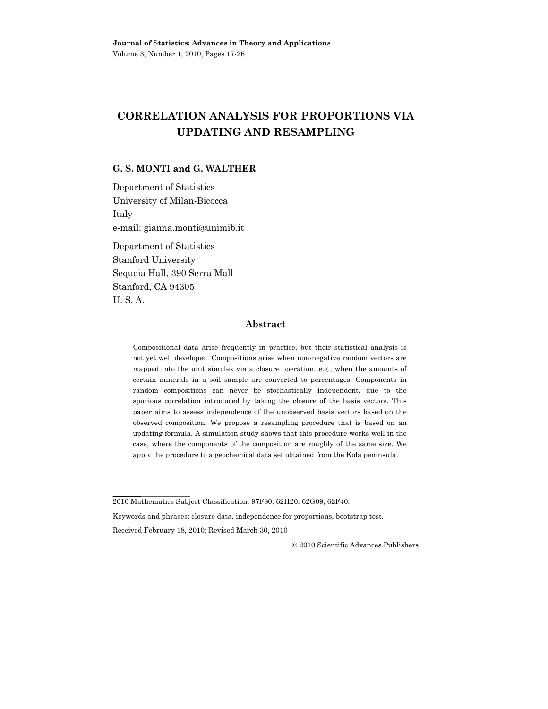# **CORRELATION ANALYSIS FOR PROPORTIONS VIA UPDATING AND RESAMPLING**

## **G. S. MONTI and G. WALTHER**

Department of Statistics University of Milan-Bicocca Italy e-mail: gianna.monti@unimib.it Department of Statistics Stanford University

Sequoia Hall, 390 Serra Mall Stanford, CA 94305 U. S. A.

### **Abstract**

Compositional data arise frequently in practice, but their statistical analysis is not yet well developed. Compositions arise when non-negative random vectors are mapped into the unit simplex via a closure operation, e.g., when the amounts of certain minerals in a soil sample are converted to percentages. Components in random compositions can never be stochastically independent, due to the spurious correlation introduced by taking the closure of the basis vectors. This paper aims to assess independence of the unobserved basis vectors based on the observed composition. We propose a resampling procedure that is based on an updating formula. A simulation study shows that this procedure works well in the case, where the components of the composition are roughly of the same size. We apply the procedure to a geochemical data set obtained from the Kola peninsula.

Received February 18, 2010; Revised March 30, 2010

2010 Scientific Advances Publishers

<sup>2010</sup> Mathematics Subject Classification: 97F80, 62H20, 62G09, 62F40.

Keywords and phrases: closure data, independence for proportions, bootstrap test.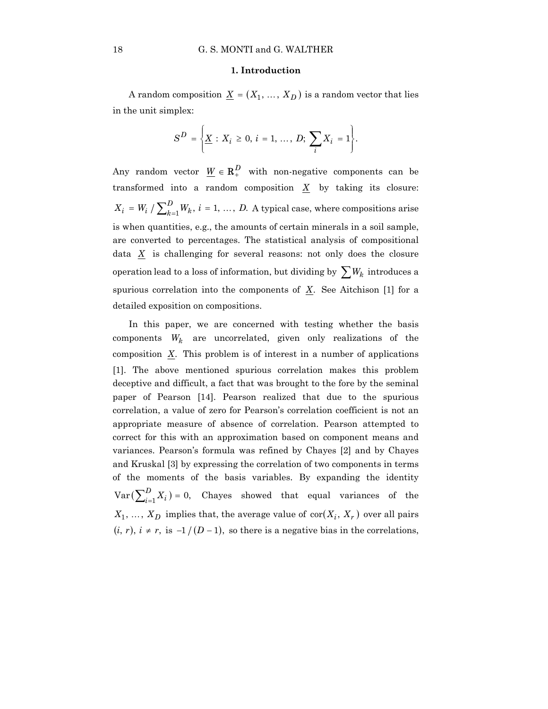#### **1. Introduction**

A random composition  $\underline{X} = (X_1, ..., X_D)$  is a random vector that lies in the unit simplex:

$$
S^{D} = \left\{ \underline{X} : X_{i} \geq 0, i = 1, ..., D; \sum_{i} X_{i} = 1 \right\}.
$$

Any random vector  $W \in \mathbb{R}^D_+$  with non-negative components can be transformed into a random composition  $X$  by taking its closure:  $X_i = W_i / \sum_{k=1}^{D} W_k$ ,  $i = 1, ..., D$ . A typical case, where compositions arise is when quantities, e.g., the amounts of certain minerals in a soil sample, are converted to percentages. The statistical analysis of compositional data *X* is challenging for several reasons: not only does the closure operation lead to a loss of information, but dividing by  $\sum W_k$  introduces a spurious correlation into the components of  $\underline{X}$ . See Aitchison [1] for a detailed exposition on compositions.

In this paper, we are concerned with testing whether the basis components  $W_k$  are uncorrelated, given only realizations of the composition *X*. This problem is of interest in a number of applications [1]. The above mentioned spurious correlation makes this problem deceptive and difficult, a fact that was brought to the fore by the seminal paper of Pearson [14]. Pearson realized that due to the spurious correlation, a value of zero for Pearson's correlation coefficient is not an appropriate measure of absence of correlation. Pearson attempted to correct for this with an approximation based on component means and variances. Pearson's formula was refined by Chayes [2] and by Chayes and Kruskal [3] by expressing the correlation of two components in terms of the moments of the basis variables. By expanding the identity  $Var\left(\sum_{i=1}^{D} X_i\right) = 0$ , Chayes showed that equal variances of the  $X_1, \ldots, X_D$  implies that, the average value of  $\text{cor}(X_i, X_r)$  over all pairs  $(i, r), i \neq r$ , is  $-1/(D-1)$ , so there is a negative bias in the correlations,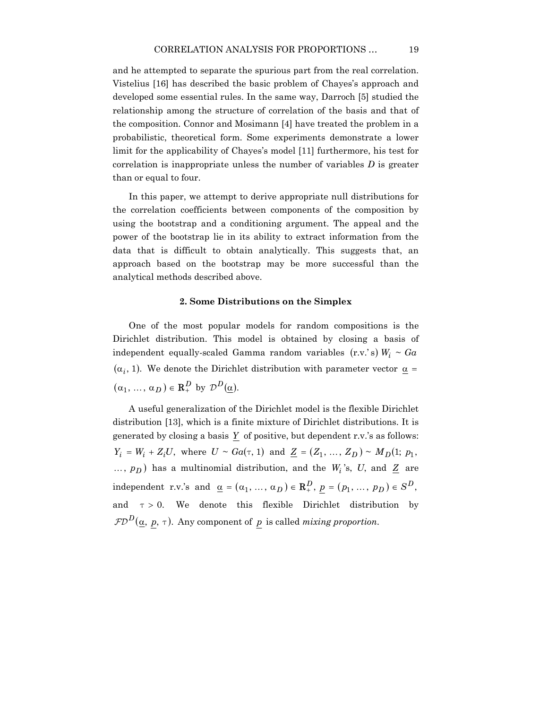and he attempted to separate the spurious part from the real correlation. Vistelius [16] has described the basic problem of Chayes's approach and developed some essential rules. In the same way, Darroch [5] studied the relationship among the structure of correlation of the basis and that of the composition. Connor and Mosimann [4] have treated the problem in a probabilistic, theoretical form. Some experiments demonstrate a lower limit for the applicability of Chayes's model [11] furthermore, his test for correlation is inappropriate unless the number of variables *D* is greater than or equal to four.

In this paper, we attempt to derive appropriate null distributions for the correlation coefficients between components of the composition by using the bootstrap and a conditioning argument. The appeal and the power of the bootstrap lie in its ability to extract information from the data that is difficult to obtain analytically. This suggests that, an approach based on the bootstrap may be more successful than the analytical methods described above.

#### **2. Some Distributions on the Simplex**

One of the most popular models for random compositions is the Dirichlet distribution. This model is obtained by closing a basis of independent equally-scaled Gamma random variables  $(r.v.'s)$   $W_i \sim Ga$  $(\alpha_i, 1)$ . We denote the Dirichlet distribution with parameter vector  $\alpha$  =  $(\alpha_1, \ldots, \alpha_D) \in \mathbb{R}^D_+$  by  $\mathcal{D}^D(\alpha)$ .

A useful generalization of the Dirichlet model is the flexible Dirichlet distribution [13], which is a finite mixture of Dirichlet distributions. It is generated by closing a basis *Y* of positive, but dependent r.v.'s as follows:  $Y_i = W_i + Z_i U$ , where  $U \sim Ga(\tau, 1)$  and  $Z = (Z_1, ..., Z_D) \sim M_D(1; p_1,$  $..., p<sub>D</sub>$ ) has a multinomial distribution, and the *W<sub>i</sub>*'s, *U*, and <u>Z</u> are  $\text{independent } r.v.'s \text{ and } \underline{\alpha} = (\alpha_1, ..., \alpha_D) \in \mathbb{R}_+^D, p = (p_1, ..., p_D) \in S^D,$ and  $\tau > 0$ . We denote this flexible Dirichlet distribution by  $FD^D(\underline{\alpha}, p, \tau)$ . Any component of *p* is called *mixing proportion*.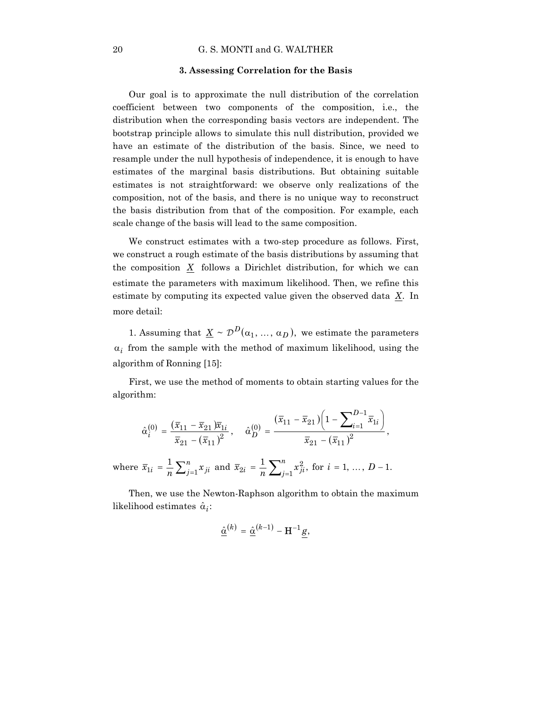#### 20 G. S. MONTI and G. WALTHER

#### **3. Assessing Correlation for the Basis**

Our goal is to approximate the null distribution of the correlation coefficient between two components of the composition, i.e., the distribution when the corresponding basis vectors are independent. The bootstrap principle allows to simulate this null distribution, provided we have an estimate of the distribution of the basis. Since, we need to resample under the null hypothesis of independence, it is enough to have estimates of the marginal basis distributions. But obtaining suitable estimates is not straightforward: we observe only realizations of the composition, not of the basis, and there is no unique way to reconstruct the basis distribution from that of the composition. For example, each scale change of the basis will lead to the same composition.

We construct estimates with a two-step procedure as follows. First, we construct a rough estimate of the basis distributions by assuming that the composition *X* follows a Dirichlet distribution, for which we can estimate the parameters with maximum likelihood. Then, we refine this estimate by computing its expected value given the observed data *X*. In more detail:

1. Assuming that  $\underline{X} \sim \mathcal{D}^D(\alpha_1, ..., \alpha_D)$ , we estimate the parameters  $\alpha_i$  from the sample with the method of maximum likelihood, using the algorithm of Ronning [15]:

First, we use the method of moments to obtain starting values for the algorithm:

$$
\hat{\alpha}_i^{(0)} = \frac{(\overline{x}_{11} - \overline{x}_{21})\overline{x}_{1i}}{\overline{x}_{21} - (\overline{x}_{11})^2}, \quad \hat{\alpha}_D^{(0)} = \frac{(\overline{x}_{11} - \overline{x}_{21})\left(1 - \sum_{i=1}^{D-1} \overline{x}_{1i}\right)}{\overline{x}_{21} - (\overline{x}_{11})^2},
$$
\nwhere  $\overline{x}_{1i} = \frac{1}{n} \sum_{j=1}^n x_{ji}$  and  $\overline{x}_{2i} = \frac{1}{n} \sum_{j=1}^n x_{ji}^2$ , for  $i = 1, ..., D-1$ .

Then, we use the Newton-Raphson algorithm to obtain the maximum likelihood estimates  $\hat{\alpha}_i$ :

$$
\hat{\underline{\alpha}}^{(k)} = \hat{\underline{\alpha}}^{(k-1)} - \mathbf{H}^{-1}g,
$$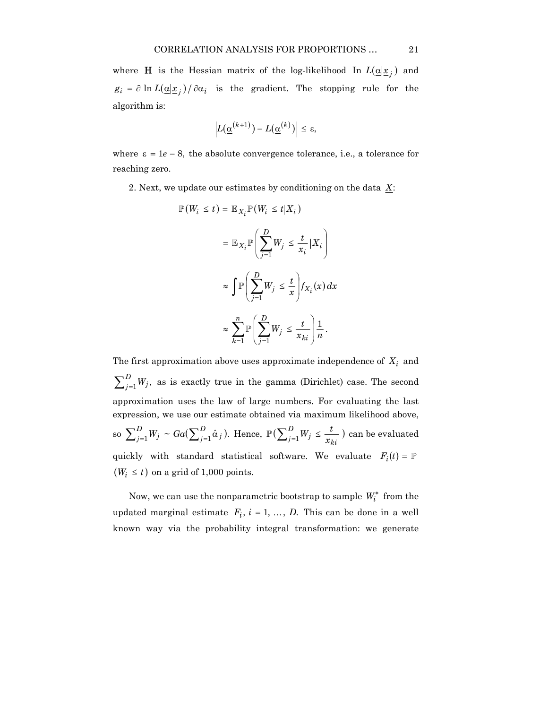where **H** is the Hessian matrix of the log-likelihood In  $L(\underline{\alpha} | \underline{x}_i)$  and  $g_i = \partial \ln L(\underline{\alpha}|\underline{x}_i)/\partial \alpha_i$  is the gradient. The stopping rule for the algorithm is:

$$
\left|L(\underline{\alpha}^{(k+1)}) - L(\underline{\alpha}^{(k)})\right| \leq \varepsilon,
$$

where  $\varepsilon = 1e - 8$ , the absolute convergence tolerance, i.e., a tolerance for reaching zero.

2. Next, we update our estimates by conditioning on the data *X*:

$$
\mathbb{P}(W_i \leq t) = \mathbb{E}_{X_i} \mathbb{P}(W_i \leq t | X_i)
$$
  

$$
= \mathbb{E}_{X_i} \mathbb{P}\left(\sum_{j=1}^D W_j \leq \frac{t}{x_i} | X_i\right)
$$
  

$$
\approx \int \mathbb{P}\left(\sum_{j=1}^D W_j \leq \frac{t}{x}\right) f_{X_i}(x) dx
$$
  

$$
\approx \sum_{k=1}^n \mathbb{P}\left(\sum_{j=1}^D W_j \leq \frac{t}{x_{ki}}\right) \frac{1}{n}.
$$

The first approximation above uses approximate independence of  $X_i$  and  $\sum_{j=1}^{D} W_j$ , as is exactly true in the gamma (Dirichlet) case. The second approximation uses the law of large numbers. For evaluating the last expression, we use our estimate obtained via maximum likelihood above, so  $\sum_{j=1}^{D} W_j \sim Ga(\sum_{j=1}^{D} \hat{\alpha}_j).$  $j$   $\sim$   $\alpha$ <sub> $\left(\sum_{j}$ </sub>  $\sum_{j=1}^{D} W_j \sim Ga(\sum_{j=1}^{D} \hat{\alpha}_j)$ . Hence,  $\mathbb{P}(\sum_{j=1}^{D} W_j \leq \frac{t}{x_{ki}})$ *D*  $\mathbb{P}\left(\sum_{j=1}^D W_j \leq \frac{t}{x_{ki}}\right)$  can be evaluated quickly with standard statistical software. We evaluate  $F_i(t) = \mathbb{P}$  $(W_i \leq t)$  on a grid of 1,000 points.

Now, we can use the nonparametric bootstrap to sample  $W_i^*$  from the updated marginal estimate  $F_i$ ,  $i = 1, ..., D$ . This can be done in a well known way via the probability integral transformation: we generate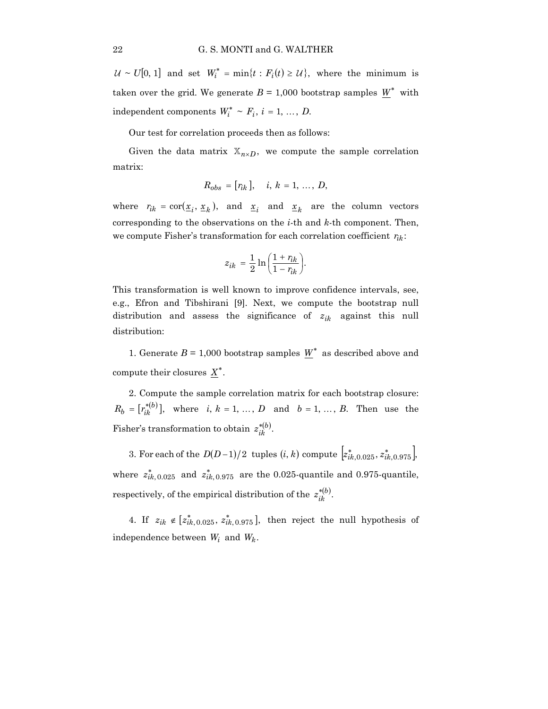$U \sim U[0, 1]$  and set  $W_i^* = \min\{t : F_i(t) \ge U\}$ , where the minimum is taken over the grid. We generate  $B = 1,000$  bootstrap samples  $W^*$  with independent components  $W_i^* \sim F_i$ ,  $i = 1, ..., D$ .

Our test for correlation proceeds then as follows:

Given the data matrix  $\mathbb{X}_{n \times D}$ , we compute the sample correlation matrix:

$$
R_{obs} = [r_{ik}], \quad i, k = 1, ..., D,
$$

where  $r_{ik} = \text{cor}(\underline{x}_i, \underline{x}_k)$ , and  $\underline{x}_i$  and  $\underline{x}_k$  are the column vectors corresponding to the observations on the *i*-th and *k*-th component. Then, we compute Fisher's transformation for each correlation coefficient  $r_{ik}$ :

$$
z_{ik} = \frac{1}{2} \ln \left( \frac{1 + r_{ik}}{1 - r_{ik}} \right).
$$

This transformation is well known to improve confidence intervals, see, e.g., Efron and Tibshirani [9]. Next, we compute the bootstrap null distribution and assess the significance of  $z_{ik}$  against this null distribution:

1. Generate  $B = 1,000$  bootstrap samples  $\underline{W}^*$  as described above and compute their closures  $X^*$ .

2. Compute the sample correlation matrix for each bootstrap closure:  $R_b = [r_{ik}^{*(b)}]$ , where *i*,  $k = 1, ..., D$  and  $b = 1, ..., B$ . Then use the Fisher's transformation to obtain  $z_{ik}^{*(b)}$ .

3. For each of the  $D(D-1)/2$  tuples  $(i, k)$  compute  $[z_{ik, 0.025}^*, z_{ik, 0.975}^*]$ , where  $z_{ik,0.025}^{*}$  and  $z_{ik,0.975}^{*}$  are the 0.025-quantile and 0.975-quantile, respectively, of the empirical distribution of the  $z_{ik}^{*(b)}$ .

4. If  $z_{ik} \notin [z_{ik, 0.025}^*, z_{ik, 0.975}^*]$ , then reject the null hypothesis of independence between  $W_i$  and  $W_k$ .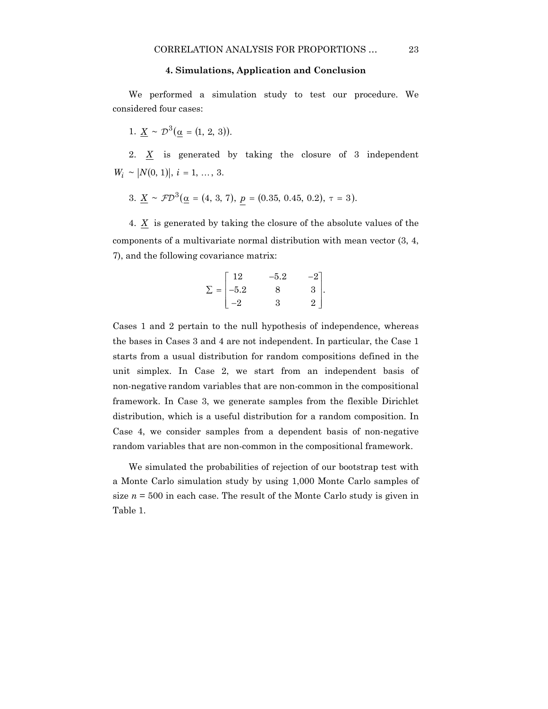#### **4. Simulations, Application and Conclusion**

We performed a simulation study to test our procedure. We considered four cases:

1. 
$$
\underline{X} \sim \mathcal{D}^3(\underline{\alpha} = (1, 2, 3)).
$$

2. *X* is generated by taking the closure of 3 independent  $W_i \sim |N(0, 1)|$ ,  $i = 1, ..., 3$ .

3.  $\underline{X} \sim \mathcal{FD}^3(\underline{\alpha} = (4, 3, 7), \underline{p} = (0.35, 0.45, 0.2), \tau = 3).$ 

4.  $\underline{X}$  is generated by taking the closure of the absolute values of the components of a multivariate normal distribution with mean vector (3, 4, 7), and the following covariance matrix:

$$
\Sigma = \begin{bmatrix} 12 & -5.2 & -2 \\ -5.2 & 8 & 3 \\ -2 & 3 & 2 \end{bmatrix}.
$$

Cases 1 and 2 pertain to the null hypothesis of independence, whereas the bases in Cases 3 and 4 are not independent. In particular, the Case 1 starts from a usual distribution for random compositions defined in the unit simplex. In Case 2, we start from an independent basis of non-negative random variables that are non-common in the compositional framework. In Case 3, we generate samples from the flexible Dirichlet distribution, which is a useful distribution for a random composition. In Case 4, we consider samples from a dependent basis of non-negative random variables that are non-common in the compositional framework.

We simulated the probabilities of rejection of our bootstrap test with a Monte Carlo simulation study by using 1,000 Monte Carlo samples of size  $n = 500$  in each case. The result of the Monte Carlo study is given in Table 1.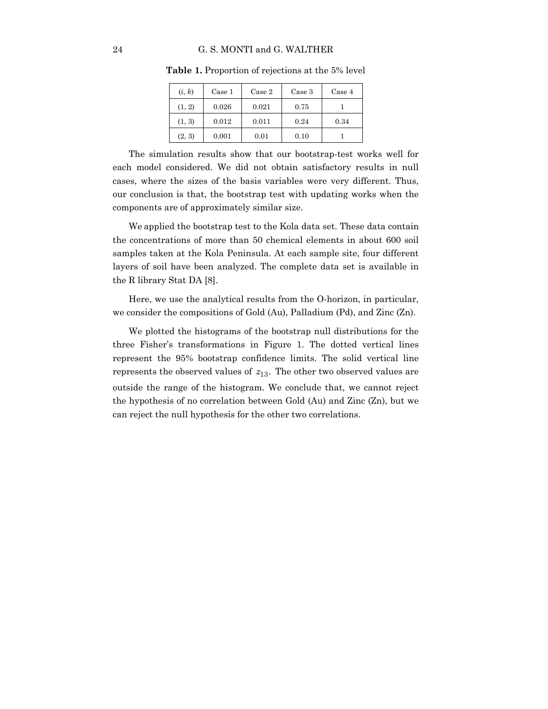| (i, k) | Case 1 | Case 2 | Case 3 | Case 4 |
|--------|--------|--------|--------|--------|
| (1, 2) | 0.026  | 0.021  | 0.75   |        |
| (1, 3) | 0.012  | 0.011  | 0.24   | 0.34   |
| (2, 3) | 0.001  | 0.01   | 0.10   |        |

**Table 1.** Proportion of rejections at the 5% level

The simulation results show that our bootstrap-test works well for each model considered. We did not obtain satisfactory results in null cases, where the sizes of the basis variables were very different. Thus, our conclusion is that, the bootstrap test with updating works when the components are of approximately similar size.

We applied the bootstrap test to the Kola data set. These data contain the concentrations of more than 50 chemical elements in about 600 soil samples taken at the Kola Peninsula. At each sample site, four different layers of soil have been analyzed. The complete data set is available in the R library Stat DA [8].

Here, we use the analytical results from the O-horizon, in particular, we consider the compositions of Gold (Au), Palladium (Pd), and Zinc (Zn).

We plotted the histograms of the bootstrap null distributions for the three Fisher's transformations in Figure 1. The dotted vertical lines represent the 95% bootstrap confidence limits. The solid vertical line represents the observed values of  $z_{13}$ . The other two observed values are outside the range of the histogram. We conclude that, we cannot reject the hypothesis of no correlation between Gold (Au) and Zinc (Zn), but we can reject the null hypothesis for the other two correlations.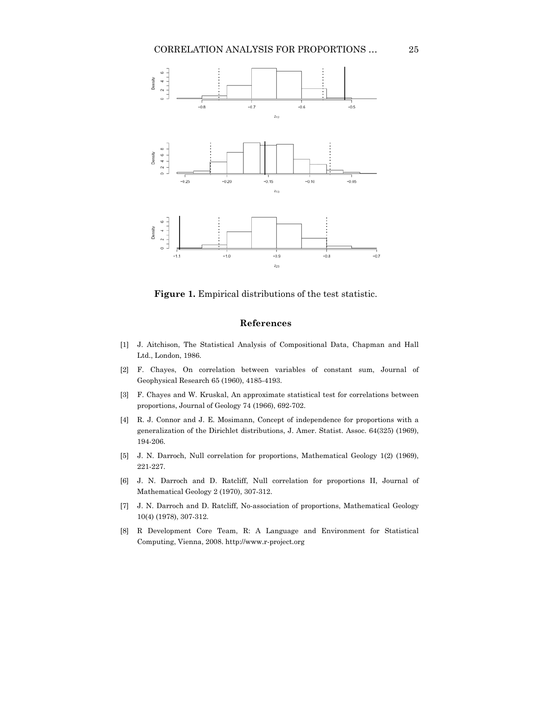

**Figure 1.** Empirical distributions of the test statistic.

#### **References**

- [1] J. Aitchison, The Statistical Analysis of Compositional Data, Chapman and Hall Ltd., London, 1986.
- [2] F. Chayes, On correlation between variables of constant sum, Journal of Geophysical Research 65 (1960), 4185-4193.
- [3] F. Chayes and W. Kruskal, An approximate statistical test for correlations between proportions, Journal of Geology 74 (1966), 692-702.
- [4] R. J. Connor and J. E. Mosimann, Concept of independence for proportions with a generalization of the Dirichlet distributions, J. Amer. Statist. Assoc. 64(325) (1969), 194-206.
- [5] J. N. Darroch, Null correlation for proportions, Mathematical Geology 1(2) (1969), 221-227.
- [6] J. N. Darroch and D. Ratcliff, Null correlation for proportions II, Journal of Mathematical Geology 2 (1970), 307-312.
- [7] J. N. Darroch and D. Ratcliff, No-association of proportions, Mathematical Geology 10(4) (1978), 307-312.
- [8] R Development Core Team, R: A Language and Environment for Statistical Computing, Vienna, 2008. http://www.r-project.org